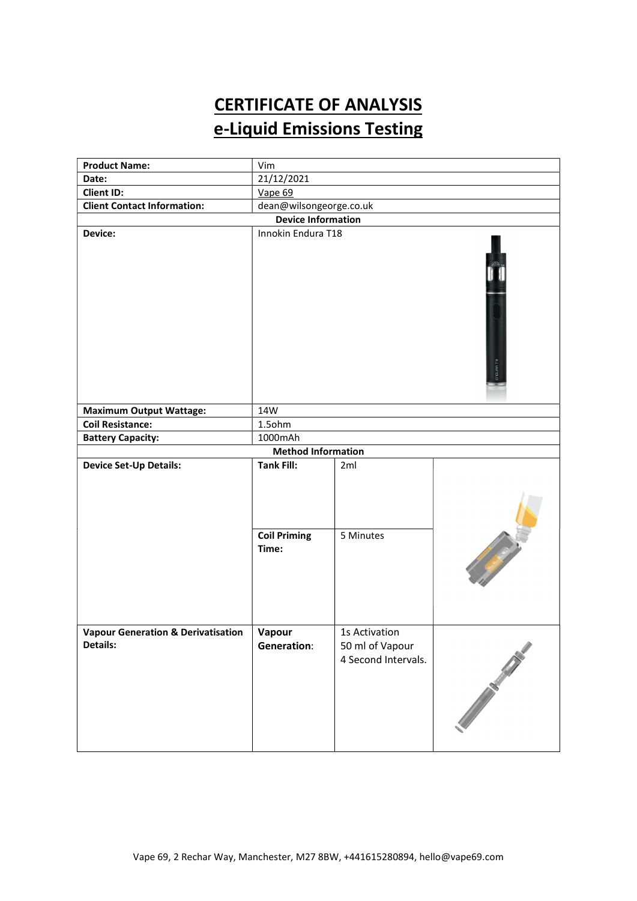# CERTIFICATE OF ANALYSIS e-Liquid Emissions Testing

| <b>Product Name:</b>                                      | Vim                                         |                                                         |                                                                                                                      |  |  |
|-----------------------------------------------------------|---------------------------------------------|---------------------------------------------------------|----------------------------------------------------------------------------------------------------------------------|--|--|
| Date:                                                     | 21/12/2021                                  |                                                         |                                                                                                                      |  |  |
| <b>Client ID:</b>                                         | Vape 69                                     |                                                         |                                                                                                                      |  |  |
| <b>Client Contact Information:</b>                        | dean@wilsongeorge.co.uk                     |                                                         |                                                                                                                      |  |  |
| <b>Device Information</b>                                 |                                             |                                                         |                                                                                                                      |  |  |
| Device:                                                   | Innokin Endura T18<br>ENDURATI <sub>8</sub> |                                                         |                                                                                                                      |  |  |
| <b>Maximum Output Wattage:</b>                            | 14W                                         |                                                         |                                                                                                                      |  |  |
| <b>Coil Resistance:</b>                                   | 1.5ohm                                      |                                                         |                                                                                                                      |  |  |
| <b>Battery Capacity:</b>                                  | 1000mAh                                     |                                                         |                                                                                                                      |  |  |
|                                                           | <b>Method Information</b>                   |                                                         |                                                                                                                      |  |  |
| <b>Device Set-Up Details:</b>                             | <b>Tank Fill:</b>                           | 2ml                                                     |                                                                                                                      |  |  |
|                                                           | <b>Coil Priming</b><br>Time:                | 5 Minutes                                               | <b>Contract Contract Contract Contract Contract Contract Contract Contract Contract Contract Contract Contract C</b> |  |  |
| <b>Vapour Generation &amp; Derivatisation</b><br>Details: | Vapour<br><b>Generation:</b>                | 1s Activation<br>50 ml of Vapour<br>4 Second Intervals. | Port of the Contract of the Contract of                                                                              |  |  |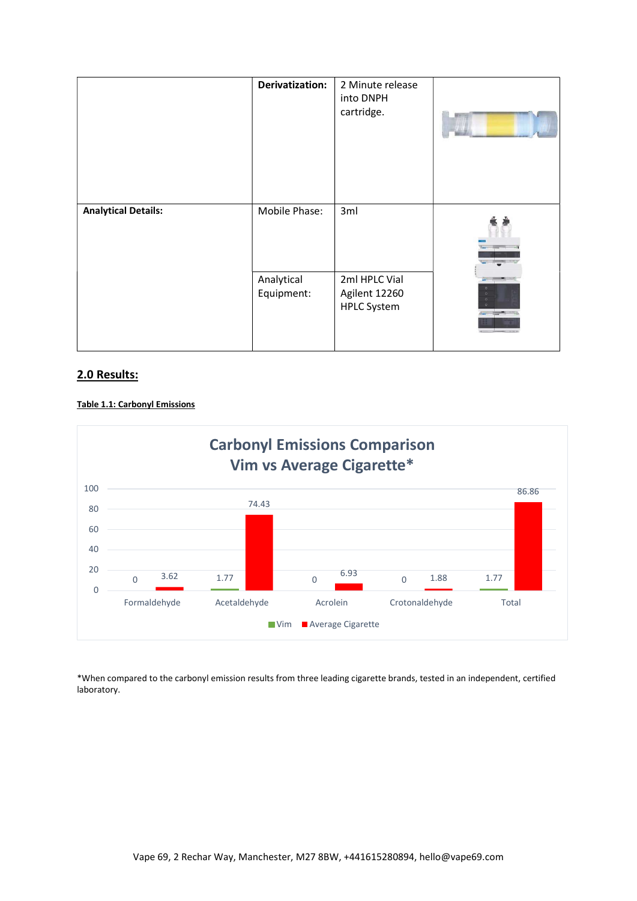|                            | Derivatization:          | 2 Minute release<br>into DNPH<br>cartridge.          |  |
|----------------------------|--------------------------|------------------------------------------------------|--|
| <b>Analytical Details:</b> | Mobile Phase:            | 3ml                                                  |  |
|                            | Analytical<br>Equipment: | 2ml HPLC Vial<br>Agilent 12260<br><b>HPLC System</b> |  |

## 2.0 Results:





\*When compared to the carbonyl emission results from three leading cigarette brands, tested in an independent, certified laboratory.